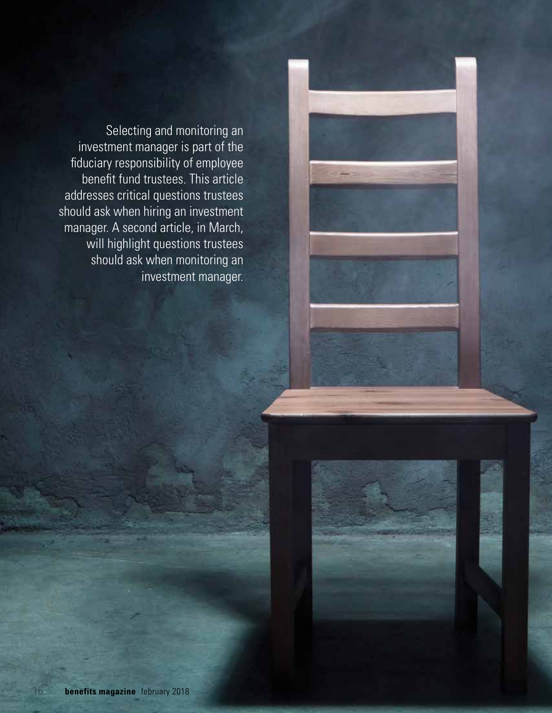Selecting and monitoring an investment manager is part of the fiduciary responsibility of employee benefit fund trustees. This article addresses critical questions trustees should ask when hiring an investment manager. A second article, in March, will highlight questions trustees should ask when monitoring an investment manager.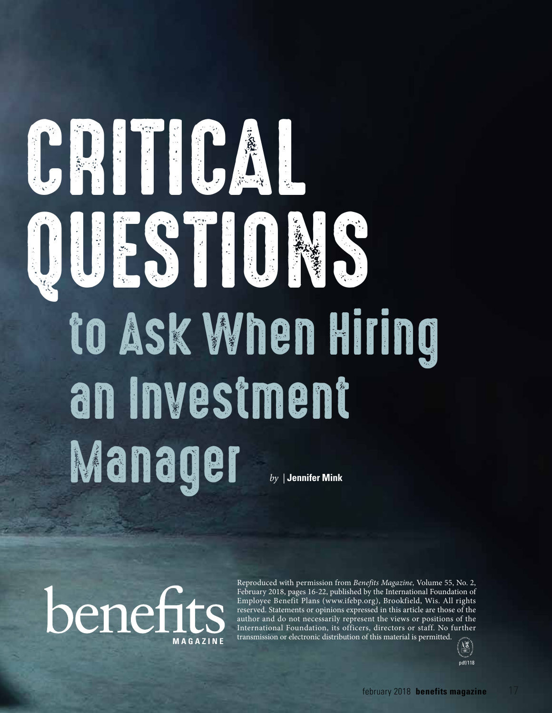# CRITICA QUESTIONS to Ask When Hiring an Investment Manager *by |* **Jennifer Mink**

Reproduced with permission from *Benefits Magazine,* Volume 55, No. 2, February 2018, pages 16-22, published by the International Foundation of Employee Benefit Plans (www.ifebp.org), Brookfield, Wis. All rights reserved. Statements or opinions expressed in this article are those of the author and do not necessarily represent the views or positions of the International Foundation, its officers, directors or staff. No further Tebruary 2018, pages 16-22, published by the International Foundation or electronic distribution of this material is permitted.<br>
MAGAZINE

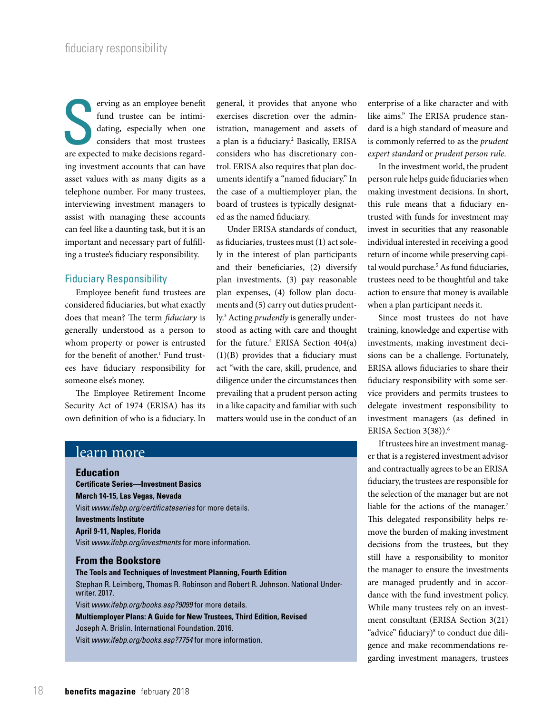El particular expected to make decisions regard-<br>
and trustee can be intimi-<br>
dating, especially when one<br>
considers that most trustees<br>
are expected to make decisions regarderving as an employee benefit fund trustee can be intimidating, especially when one considers that most trustees ing investment accounts that can have asset values with as many digits as a telephone number. For many trustees, interviewing investment managers to assist with managing these accounts can feel like a daunting task, but it is an important and necessary part of fulfilling a trustee's fiduciary responsibility.

### Fiduciary Responsibility

Employee benefit fund trustees are considered fiduciaries, but what exactly does that mean? The term *fiduciary* is generally understood as a person to whom property or power is entrusted for the benefit of another.<sup>1</sup> Fund trustees have fiduciary responsibility for someone else's money.

The Employee Retirement Income Security Act of 1974 (ERISA) has its own definition of who is a fiduciary. In general, it provides that anyone who exercises discretion over the administration, management and assets of a plan is a fiduciary.2 Basically, ERISA considers who has discretionary control. ERISA also requires that plan documents identify a "named fiduciary." In the case of a multiemployer plan, the board of trustees is typically designated as the named fiduciary.

Under ERISA standards of conduct, as fiduciaries, trustees must (1) act solely in the interest of plan participants and their beneficiaries, (2) diversify plan investments, (3) pay reasonable plan expenses, (4) follow plan documents and (5) carry out duties prudently.3 Acting *prudently* is generally understood as acting with care and thought for the future.4 ERISA Section 404(a) (1)(B) provides that a fiduciary must act "with the care, skill, prudence, and diligence under the circumstances then prevailing that a prudent person acting in a like capacity and familiar with such matters would use in the conduct of an

# learn more

#### **Education**

**Certificate Series—Investment Basics March 14-15, Las Vegas, Nevada** Visit *www.ifebp.org/certificateseries* for more details. **Investments Institute April 9-11, Naples, Florida**

Visit *www.ifebp.org/investments* for more information.

#### **From the Bookstore**

**The Tools and Techniques of Investment Planning, Fourth Edition** Stephan R. Leimberg, Thomas R. Robinson and Robert R. Johnson. National Underwriter. 2017. Visit *www.ifebp.org/books.asp?9099* for more details. **Multiemployer Plans: A Guide for New Trustees, Third Edition, Revised** Joseph A. Brislin. International Foundation. 2016. Visit *www.ifebp.org/books.asp?7754* for more information.

enterprise of a like character and with like aims." The ERISA prudence standard is a high standard of measure and is commonly referred to as the *prudent expert standard* or *prudent person rule*.

In the investment world, the prudent person rule helps guide fiduciaries when making investment decisions. In short, this rule means that a fiduciary entrusted with funds for investment may invest in securities that any reasonable individual interested in receiving a good return of income while preserving capital would purchase.<sup>5</sup> As fund fiduciaries, trustees need to be thoughtful and take action to ensure that money is available when a plan participant needs it.

Since most trustees do not have training, knowledge and expertise with investments, making investment decisions can be a challenge. Fortunately, ERISA allows fiduciaries to share their fiduciary responsibility with some service providers and permits trustees to delegate investment responsibility to investment managers (as defined in ERISA Section 3(38)).<sup>6</sup>

If trustees hire an investment manager that is a registered investment advisor and contractually agrees to be an ERISA fiduciary, the trustees are responsible for the selection of the manager but are not liable for the actions of the manager.<sup>7</sup> This delegated responsibility helps remove the burden of making investment decisions from the trustees, but they still have a responsibility to monitor the manager to ensure the investments are managed prudently and in accordance with the fund investment policy. While many trustees rely on an investment consultant (ERISA Section 3(21) "advice" fiduciary)<sup>8</sup> to conduct due diligence and make recommendations regarding investment managers, trustees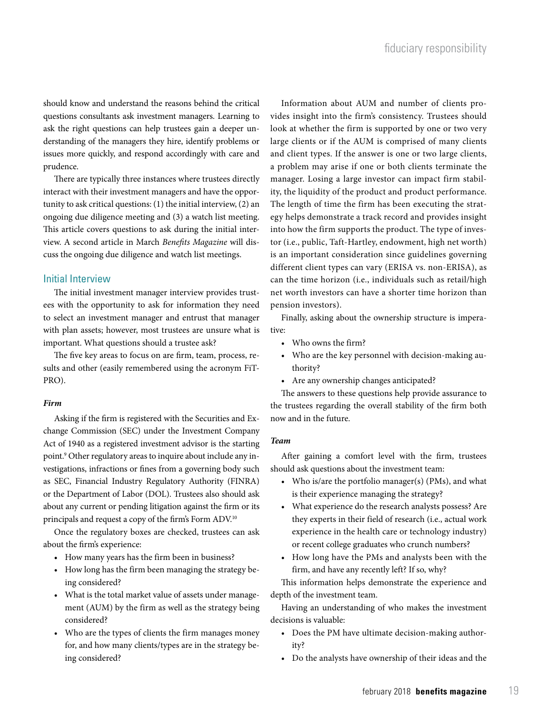should know and understand the reasons behind the critical questions consultants ask investment managers. Learning to ask the right questions can help trustees gain a deeper understanding of the managers they hire, identify problems or issues more quickly, and respond accordingly with care and prudence.

There are typically three instances where trustees directly interact with their investment managers and have the opportunity to ask critical questions: (1) the initial interview, (2) an ongoing due diligence meeting and (3) a watch list meeting. This article covers questions to ask during the initial interview. A second article in March *Benefits Magazine* will discuss the ongoing due diligence and watch list meetings.

#### Initial Interview

The initial investment manager interview provides trustees with the opportunity to ask for information they need to select an investment manager and entrust that manager with plan assets; however, most trustees are unsure what is important. What questions should a trustee ask?

The five key areas to focus on are firm, team, process, results and other (easily remembered using the acronym FiT-PRO).

#### *Firm*

Asking if the firm is registered with the Securities and Exchange Commission (SEC) under the Investment Company Act of 1940 as a registered investment advisor is the starting point.9 Other regulatory areas to inquire about include any investigations, infractions or fines from a governing body such as SEC, Financial Industry Regulatory Authority (FINRA) or the Department of Labor (DOL). Trustees also should ask about any current or pending litigation against the firm or its principals and request a copy of the firm's Form ADV.10

Once the regulatory boxes are checked, trustees can ask about the firm's experience:

- How many years has the firm been in business?
- How long has the firm been managing the strategy being considered?
- What is the total market value of assets under management (AUM) by the firm as well as the strategy being considered?
- Who are the types of clients the firm manages money for, and how many clients/types are in the strategy being considered?

Information about AUM and number of clients provides insight into the firm's consistency. Trustees should look at whether the firm is supported by one or two very large clients or if the AUM is comprised of many clients and client types. If the answer is one or two large clients, a problem may arise if one or both clients terminate the manager. Losing a large investor can impact firm stability, the liquidity of the product and product performance. The length of time the firm has been executing the strategy helps demonstrate a track record and provides insight into how the firm supports the product. The type of investor (i.e., public, Taft-Hartley, endowment, high net worth) is an important consideration since guidelines governing different client types can vary (ERISA vs. non-ERISA), as can the time horizon (i.e., individuals such as retail/high net worth investors can have a shorter time horizon than pension investors).

Finally, asking about the ownership structure is imperative:

- Who owns the firm?
- Who are the key personnel with decision-making authority?
- Are any ownership changes anticipated?

The answers to these questions help provide assurance to the trustees regarding the overall stability of the firm both now and in the future.

#### *Team*

After gaining a comfort level with the firm, trustees should ask questions about the investment team:

- Who is/are the portfolio manager(s) (PMs), and what is their experience managing the strategy?
- What experience do the research analysts possess? Are they experts in their field of research (i.e., actual work experience in the health care or technology industry) or recent college graduates who crunch numbers?
- How long have the PMs and analysts been with the firm, and have any recently left? If so, why?

This information helps demonstrate the experience and depth of the investment team.

Having an understanding of who makes the investment decisions is valuable:

- Does the PM have ultimate decision-making authority?
- Do the analysts have ownership of their ideas and the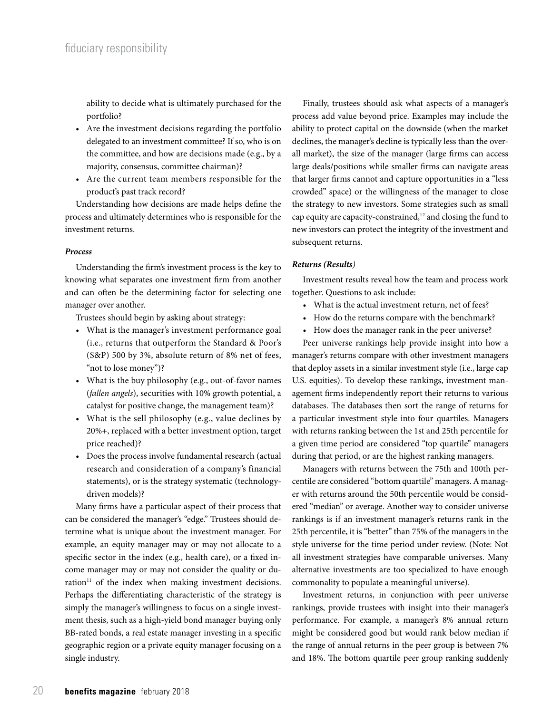ability to decide what is ultimately purchased for the portfolio?

- Are the investment decisions regarding the portfolio delegated to an investment committee? If so, who is on the committee, and how are decisions made (e.g., by a majority, consensus, committee chairman)?
- Are the current team members responsible for the product's past track record?

Understanding how decisions are made helps define the process and ultimately determines who is responsible for the investment returns.

#### *Process*

Understanding the firm's investment process is the key to knowing what separates one investment firm from another and can often be the determining factor for selecting one manager over another.

Trustees should begin by asking about strategy:

- What is the manager's investment performance goal (i.e., returns that outperform the Standard & Poor's (S&P) 500 by 3%, absolute return of 8% net of fees, "not to lose money")?
- What is the buy philosophy (e.g., out-of-favor names (*fallen angels*), securities with 10% growth potential, a catalyst for positive change, the management team)?
- What is the sell philosophy (e.g., value declines by 20%+, replaced with a better investment option, target price reached)?
- Does the process involve fundamental research (actual research and consideration of a company's financial statements), or is the strategy systematic (technologydriven models)?

Many firms have a particular aspect of their process that can be considered the manager's "edge." Trustees should determine what is unique about the investment manager. For example, an equity manager may or may not allocate to a specific sector in the index (e.g., health care), or a fixed income manager may or may not consider the quality or duration<sup>11</sup> of the index when making investment decisions. Perhaps the differentiating characteristic of the strategy is simply the manager's willingness to focus on a single investment thesis, such as a high-yield bond manager buying only BB-rated bonds, a real estate manager investing in a specific geographic region or a private equity manager focusing on a single industry.

Finally, trustees should ask what aspects of a manager's process add value beyond price. Examples may include the ability to protect capital on the downside (when the market declines, the manager's decline is typically less than the overall market), the size of the manager (large firms can access large deals/positions while smaller firms can navigate areas that larger firms cannot and capture opportunities in a "less crowded" space) or the willingness of the manager to close the strategy to new investors. Some strategies such as small cap equity are capacity-constrained,<sup>12</sup> and closing the fund to new investors can protect the integrity of the investment and subsequent returns.

#### *Returns (Results)*

Investment results reveal how the team and process work together. Questions to ask include:

- What is the actual investment return, net of fees?
- How do the returns compare with the benchmark?
- How does the manager rank in the peer universe?

Peer universe rankings help provide insight into how a manager's returns compare with other investment managers that deploy assets in a similar investment style (i.e., large cap U.S. equities). To develop these rankings, investment management firms independently report their returns to various databases. The databases then sort the range of returns for a particular investment style into four quartiles. Managers with returns ranking between the 1st and 25th percentile for a given time period are considered "top quartile" managers during that period, or are the highest ranking managers.

Managers with returns between the 75th and 100th percentile are considered "bottom quartile" managers. A manager with returns around the 50th percentile would be considered "median" or average. Another way to consider universe rankings is if an investment manager's returns rank in the 25th percentile, it is "better" than 75% of the managers in the style universe for the time period under review. (Note: Not all investment strategies have comparable universes. Many alternative investments are too specialized to have enough commonality to populate a meaningful universe).

Investment returns, in conjunction with peer universe rankings, provide trustees with insight into their manager's performance. For example, a manager's 8% annual return might be considered good but would rank below median if the range of annual returns in the peer group is between 7% and 18%. The bottom quartile peer group ranking suddenly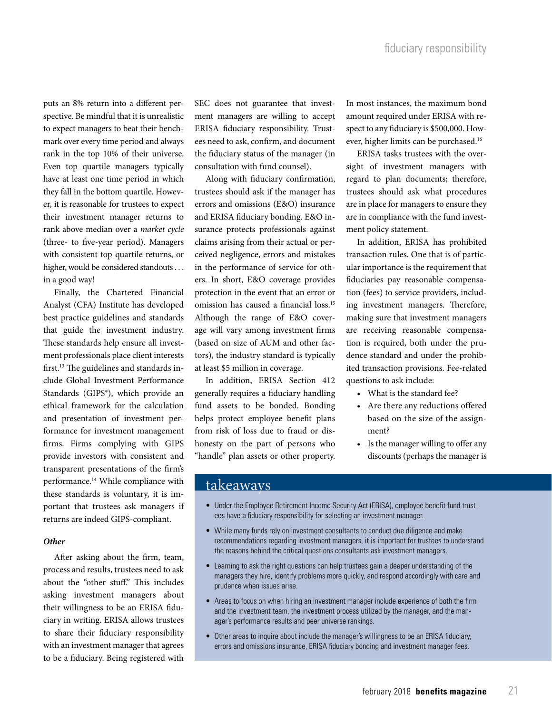puts an 8% return into a different perspective. Be mindful that it is unrealistic to expect managers to beat their benchmark over every time period and always rank in the top 10% of their universe. Even top quartile managers typically have at least one time period in which they fall in the bottom quartile. However, it is reasonable for trustees to expect their investment manager returns to rank above median over a *market cycle* (three- to five-year period). Managers with consistent top quartile returns, or higher, would be considered standouts . . . in a good way!

Finally, the Chartered Financial Analyst (CFA) Institute has developed best practice guidelines and standards that guide the investment industry. These standards help ensure all investment professionals place client interests first.<sup>13</sup> The guidelines and standards include Global Investment Performance Standards (GIPS®), which provide an ethical framework for the calculation and presentation of investment performance for investment management firms. Firms complying with GIPS provide investors with consistent and transparent presentations of the firm's performance.14 While compliance with these standards is voluntary, it is important that trustees ask managers if returns are indeed GIPS-compliant.

#### *Other*

After asking about the firm, team, process and results, trustees need to ask about the "other stuff." This includes asking investment managers about their willingness to be an ERISA fiduciary in writing. ERISA allows trustees to share their fiduciary responsibility with an investment manager that agrees to be a fiduciary. Being registered with

SEC does not guarantee that investment managers are willing to accept ERISA fiduciary responsibility. Trustees need to ask, confirm, and document the fiduciary status of the manager (in consultation with fund counsel).

Along with fiduciary confirmation, trustees should ask if the manager has errors and omissions (E&O) insurance and ERISA fiduciary bonding. E&O insurance protects professionals against claims arising from their actual or perceived negligence, errors and mistakes in the performance of service for others. In short, E&O coverage provides protection in the event that an error or omission has caused a financial loss.15 Although the range of E&O coverage will vary among investment firms (based on size of AUM and other factors), the industry standard is typically at least \$5 million in coverage.

In addition, ERISA Section 412 generally requires a fiduciary handling fund assets to be bonded. Bonding helps protect employee benefit plans from risk of loss due to fraud or dishonesty on the part of persons who "handle" plan assets or other property.

In most instances, the maximum bond amount required under ERISA with respect to any fiduciary is \$500,000. However, higher limits can be purchased.16

ERISA tasks trustees with the oversight of investment managers with regard to plan documents; therefore, trustees should ask what procedures are in place for managers to ensure they are in compliance with the fund investment policy statement.

In addition, ERISA has prohibited transaction rules. One that is of particular importance is the requirement that fiduciaries pay reasonable compensation (fees) to service providers, including investment managers. Therefore, making sure that investment managers are receiving reasonable compensation is required, both under the prudence standard and under the prohibited transaction provisions. Fee-related questions to ask include:

- What is the standard fee?
- Are there any reductions offered based on the size of the assignment?
- Is the manager willing to offer any discounts (perhaps the manager is

# takeaways

- Under the Employee Retirement Income Security Act (ERISA), employee benefit fund trustees have a fiduciary responsibility for selecting an investment manager.
- While many funds rely on investment consultants to conduct due diligence and make recommendations regarding investment managers, it is important for trustees to understand the reasons behind the critical questions consultants ask investment managers.
- Learning to ask the right questions can help trustees gain a deeper understanding of the managers they hire, identify problems more quickly, and respond accordingly with care and prudence when issues arise.
- Areas to focus on when hiring an investment manager include experience of both the firm and the investment team, the investment process utilized by the manager, and the manager's performance results and peer universe rankings.
- Other areas to inquire about include the manager's willingness to be an ERISA fiduciary, errors and omissions insurance, ERISA fiduciary bonding and investment manager fees.